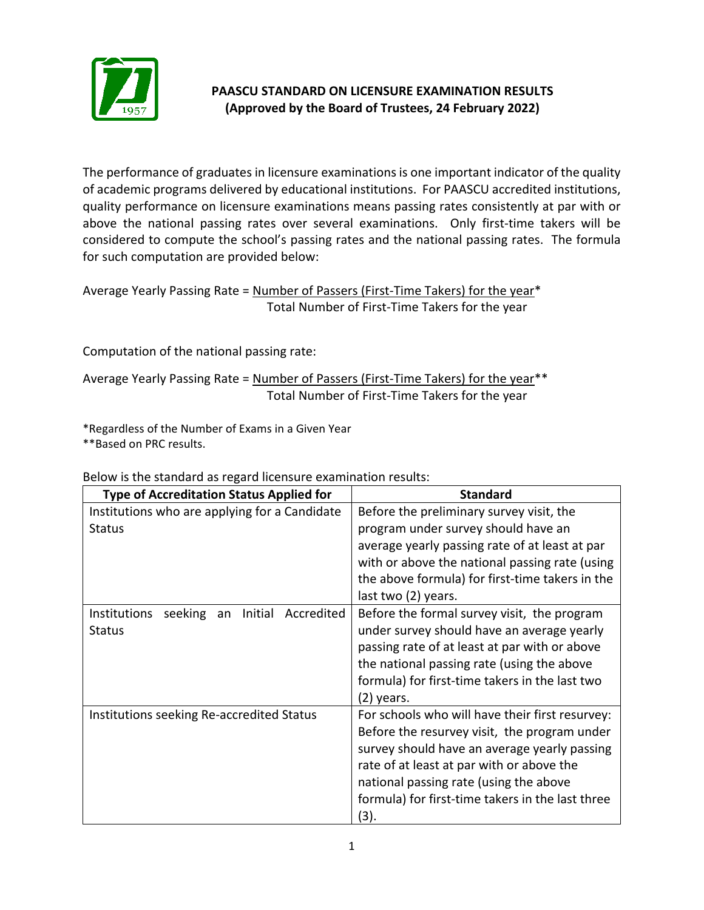

## **PAASCU STANDARD ON LICENSURE EXAMINATION RESULTS (Approved by the Board of Trustees, 24 February 2022)**

The performance of graduates in licensure examinations is one important indicator of the quality of academic programs delivered by educational institutions. For PAASCU accredited institutions, quality performance on licensure examinations means passing rates consistently at par with or above the national passing rates over several examinations. Only first-time takers will be considered to compute the school's passing rates and the national passing rates. The formula for such computation are provided below:

Average Yearly Passing Rate = Number of Passers (First-Time Takers) for the year\* Total Number of First-Time Takers for the year

Computation of the national passing rate:

Average Yearly Passing Rate = Number of Passers (First-Time Takers) for the year<sup>\*\*</sup> Total Number of First-Time Takers for the year

\*Regardless of the Number of Exams in a Given Year \*\*Based on PRC results.

| <b>Type of Accreditation Status Applied for</b>        | <b>Standard</b>                                  |
|--------------------------------------------------------|--------------------------------------------------|
| Institutions who are applying for a Candidate          | Before the preliminary survey visit, the         |
| <b>Status</b>                                          | program under survey should have an              |
|                                                        | average yearly passing rate of at least at par   |
|                                                        | with or above the national passing rate (using   |
|                                                        | the above formula) for first-time takers in the  |
|                                                        | last two (2) years.                              |
| Institutions<br>seeking<br>Initial<br>Accredited<br>an | Before the formal survey visit, the program      |
| <b>Status</b>                                          | under survey should have an average yearly       |
|                                                        | passing rate of at least at par with or above    |
|                                                        | the national passing rate (using the above       |
|                                                        | formula) for first-time takers in the last two   |
|                                                        | (2) years.                                       |
| Institutions seeking Re-accredited Status              | For schools who will have their first resurvey:  |
|                                                        | Before the resurvey visit, the program under     |
|                                                        | survey should have an average yearly passing     |
|                                                        | rate of at least at par with or above the        |
|                                                        | national passing rate (using the above           |
|                                                        | formula) for first-time takers in the last three |
|                                                        | (3).                                             |

Below is the standard as regard licensure examination results: